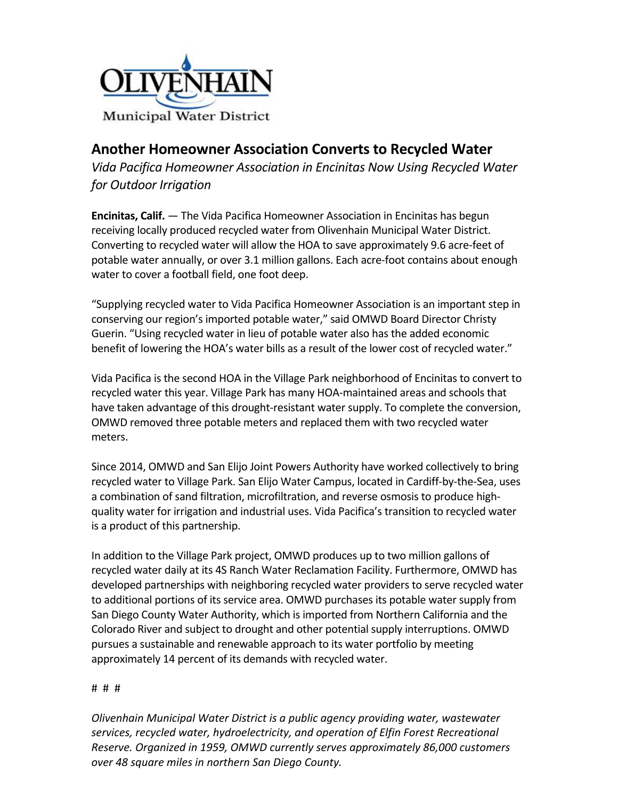

# **Another Homeowner Association Converts to Recycled Water**

Vida Pacifica Homeowner Association in Encinitas Now Using Recycled Water *for Outdoor Irrigation*

**Encinitas, Calif.** — The Vida Pacifica Homeowner Association in Encinitas has begun receiving locally produced recycled water from Olivenhain Municipal Water District. Converting to recycled water will allow the HOA to save approximately 9.6 acre-feet of potable water annually, or over 3.1 million gallons. Each acre-foot contains about enough water to cover a football field, one foot deep.

"Supplying recycled water to Vida Pacifica Homeowner Association is an important step in conserving our region's imported potable water," said OMWD Board Director Christy Guerin. "Using recycled water in lieu of potable water also has the added economic benefit of lowering the HOA's water bills as a result of the lower cost of recycled water."

Vida Pacifica is the second HOA in the Village Park neighborhood of Encinitas to convert to recycled water this year. Village Park has many HOA-maintained areas and schools that have taken advantage of this drought-resistant water supply. To complete the conversion, OMWD removed three potable meters and replaced them with two recycled water meters.

Since 2014, OMWD and San Elijo Joint Powers Authority have worked collectively to bring recycled water to Village Park. San Elijo Water Campus, located in Cardiff-by-the-Sea, uses a combination of sand filtration, microfiltration, and reverse osmosis to produce highquality water for irrigation and industrial uses. Vida Pacifica's transition to recycled water is a product of this partnership.

In addition to the Village Park project, OMWD produces up to two million gallons of recycled water daily at its 4S Ranch Water Reclamation Facility. Furthermore, OMWD has developed partnerships with neighboring recycled water providers to serve recycled water to additional portions of its service area. OMWD purchases its potable water supply from San Diego County Water Authority, which is imported from Northern California and the Colorado River and subject to drought and other potential supply interruptions. OMWD pursues a sustainable and renewable approach to its water portfolio by meeting approximately 14 percent of its demands with recycled water.

#### # # #

*Olivenhain Municipal Water District is a public agency providing water, wastewater* services, recycled water, hydroelectricity, and operation of Elfin Forest Recreational *Reserve.* Organized in 1959, OMWD currently serves approximately 86,000 customers *over 48 square miles in northern San Diego County.*